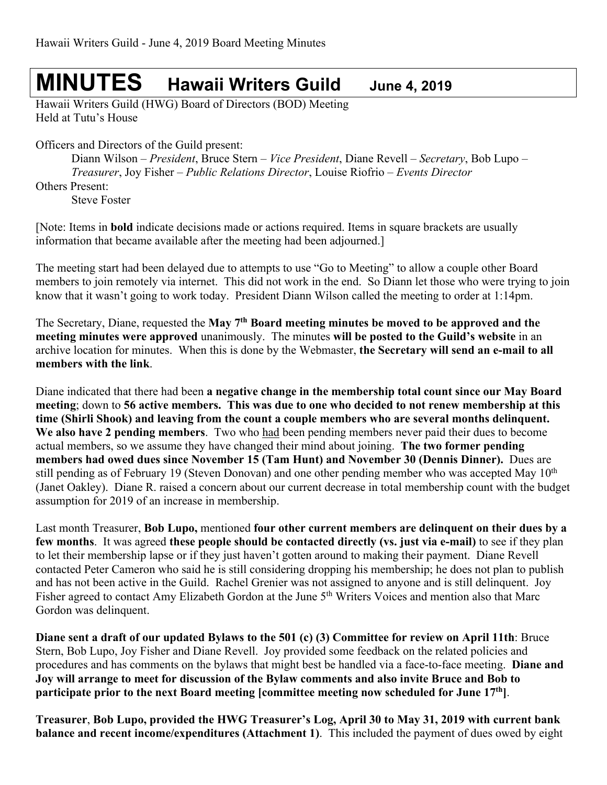# **MINUTES Hawaii Writers Guild June 4, <sup>2019</sup>**

Hawaii Writers Guild (HWG) Board of Directors (BOD) Meeting Held at Tutu's House

Officers and Directors of the Guild present:

Diann Wilson – *President*, Bruce Stern – *Vice President*, Diane Revell – *Secretary*, Bob Lupo – *Treasurer*, Joy Fisher – *Public Relations Director*, Louise Riofrio – *Events Director*

Others Present:

Steve Foster

[Note: Items in **bold** indicate decisions made or actions required. Items in square brackets are usually information that became available after the meeting had been adjourned.]

The meeting start had been delayed due to attempts to use "Go to Meeting" to allow a couple other Board members to join remotely via internet. This did not work in the end. So Diann let those who were trying to join know that it wasn't going to work today. President Diann Wilson called the meeting to order at 1:14pm.

The Secretary, Diane, requested the **May 7th Board meeting minutes be moved to be approved and the meeting minutes were approved** unanimously. The minutes **will be posted to the Guild's website** in an archive location for minutes. When this is done by the Webmaster, **the Secretary will send an e-mail to all members with the link**.

Diane indicated that there had been **a negative change in the membership total count since our May Board meeting**; down to **56 active members. This was due to one who decided to not renew membership at this time (Shirli Shook) and leaving from the count a couple members who are several months delinquent. We also have 2 pending members**. Two who had been pending members never paid their dues to become actual members, so we assume they have changed their mind about joining. **The two former pending members had owed dues since November 15 (Tam Hunt) and November 30 (Dennis Dinner).** Dues are still pending as of February 19 (Steven Donovan) and one other pending member who was accepted May  $10<sup>th</sup>$ (Janet Oakley). Diane R. raised a concern about our current decrease in total membership count with the budget assumption for 2019 of an increase in membership.

Last month Treasurer, **Bob Lupo,** mentioned **four other current members are delinquent on their dues by a few months**. It was agreed **these people should be contacted directly (vs. just via e-mail)** to see if they plan to let their membership lapse or if they just haven't gotten around to making their payment. Diane Revell contacted Peter Cameron who said he is still considering dropping his membership; he does not plan to publish and has not been active in the Guild. Rachel Grenier was not assigned to anyone and is still delinquent. Joy Fisher agreed to contact Amy Elizabeth Gordon at the June 5<sup>th</sup> Writers Voices and mention also that Marc Gordon was delinquent.

**Diane sent a draft of our updated Bylaws to the 501 (c) (3) Committee for review on April 11th**: Bruce Stern, Bob Lupo, Joy Fisher and Diane Revell. Joy provided some feedback on the related policies and procedures and has comments on the bylaws that might best be handled via a face-to-face meeting. **Diane and Joy will arrange to meet for discussion of the Bylaw comments and also invite Bruce and Bob to participate prior to the next Board meeting [committee meeting now scheduled for June 17th]**.

**Treasurer**, **Bob Lupo, provided the HWG Treasurer's Log, April 30 to May 31, 2019 with current bank balance and recent income/expenditures (Attachment 1)**. This included the payment of dues owed by eight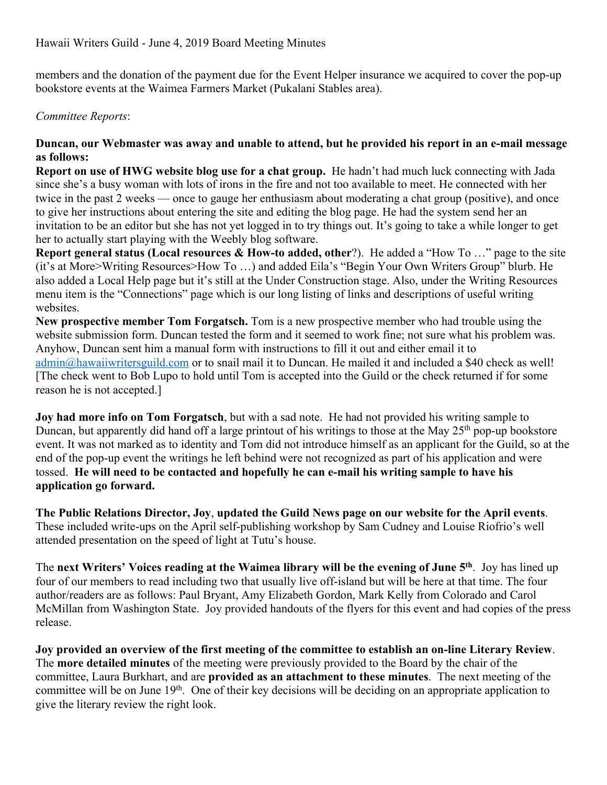members and the donation of the payment due for the Event Helper insurance we acquired to cover the pop-up bookstore events at the Waimea Farmers Market (Pukalani Stables area).

# *Committee Reports*:

## **Duncan, our Webmaster was away and unable to attend, but he provided his report in an e-mail message as follows:**

**Report on use of HWG website blog use for a chat group.** He hadn't had much luck connecting with Jada since she's a busy woman with lots of irons in the fire and not too available to meet. He connected with her twice in the past 2 weeks — once to gauge her enthusiasm about moderating a chat group (positive), and once to give her instructions about entering the site and editing the blog page. He had the system send her an invitation to be an editor but she has not yet logged in to try things out. It's going to take a while longer to get her to actually start playing with the Weebly blog software.

**Report general status (Local resources & How-to added, other**?). He added a "How To …" page to the site (it's at More>Writing Resources>How To …) and added Eila's "Begin Your Own Writers Group" blurb. He also added a Local Help page but it's still at the Under Construction stage. Also, under the Writing Resources menu item is the "Connections" page which is our long listing of links and descriptions of useful writing websites.

**New prospective member Tom Forgatsch.** Tom is a new prospective member who had trouble using the website submission form. Duncan tested the form and it seemed to work fine; not sure what his problem was. Anyhow, Duncan sent him a manual form with instructions to fill it out and either email it to admin@hawaiiwritersguild.com or to snail mail it to Duncan. He mailed it and included a \$40 check as well! [The check went to Bob Lupo to hold until Tom is accepted into the Guild or the check returned if for some reason he is not accepted.]

**Joy had more info on Tom Forgatsch**, but with a sad note. He had not provided his writing sample to Duncan, but apparently did hand off a large printout of his writings to those at the May 25<sup>th</sup> pop-up bookstore event. It was not marked as to identity and Tom did not introduce himself as an applicant for the Guild, so at the end of the pop-up event the writings he left behind were not recognized as part of his application and were tossed. **He will need to be contacted and hopefully he can e-mail his writing sample to have his application go forward.**

**The Public Relations Director, Joy**, **updated the Guild News page on our website for the April events**. These included write-ups on the April self-publishing workshop by Sam Cudney and Louise Riofrio's well attended presentation on the speed of light at Tutu's house.

The **next Writers' Voices reading at the Waimea library will be the evening of June 5th**. Joy has lined up four of our members to read including two that usually live off-island but will be here at that time. The four author/readers are as follows: Paul Bryant, Amy Elizabeth Gordon, Mark Kelly from Colorado and Carol McMillan from Washington State. Joy provided handouts of the flyers for this event and had copies of the press release.

**Joy provided an overview of the first meeting of the committee to establish an on-line Literary Review**. The **more detailed minutes** of the meeting were previously provided to the Board by the chair of the committee, Laura Burkhart, and are **provided as an attachment to these minutes**. The next meeting of the committee will be on June  $19<sup>th</sup>$ . One of their key decisions will be deciding on an appropriate application to give the literary review the right look.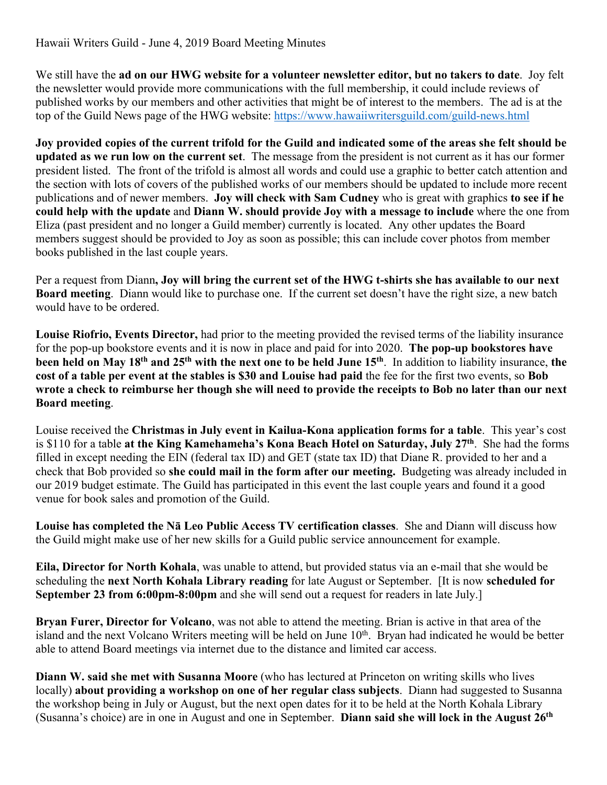We still have the **ad on our HWG website for a volunteer newsletter editor, but no takers to date**. Joy felt the newsletter would provide more communications with the full membership, it could include reviews of published works by our members and other activities that might be of interest to the members. The ad is at the top of the Guild News page of the HWG website: https://www.hawaiiwritersguild.com/guild-news.html

**Joy provided copies of the current trifold for the Guild and indicated some of the areas she felt should be updated as we run low on the current set**. The message from the president is not current as it has our former president listed. The front of the trifold is almost all words and could use a graphic to better catch attention and the section with lots of covers of the published works of our members should be updated to include more recent publications and of newer members. **Joy will check with Sam Cudney** who is great with graphics **to see if he could help with the update** and **Diann W. should provide Joy with a message to include** where the one from Eliza (past president and no longer a Guild member) currently is located. Any other updates the Board members suggest should be provided to Joy as soon as possible; this can include cover photos from member books published in the last couple years.

Per a request from Diann**, Joy will bring the current set of the HWG t-shirts she has available to our next Board meeting**. Diann would like to purchase one. If the current set doesn't have the right size, a new batch would have to be ordered.

**Louise Riofrio, Events Director,** had prior to the meeting provided the revised terms of the liability insurance for the pop-up bookstore events and it is now in place and paid for into 2020. **The pop-up bookstores have been held on May 18th and 25th with the next one to be held June 15th**. In addition to liability insurance, **the cost of a table per event at the stables is \$30 and Louise had paid** the fee for the first two events, so **Bob wrote a check to reimburse her though she will need to provide the receipts to Bob no later than our next Board meeting**.

Louise received the **Christmas in July event in Kailua-Kona application forms for a table**. This year's cost is \$110 for a table **at the King Kamehameha's Kona Beach Hotel on Saturday, July 27th**. She had the forms filled in except needing the EIN (federal tax ID) and GET (state tax ID) that Diane R. provided to her and a check that Bob provided so **she could mail in the form after our meeting.** Budgeting was already included in our 2019 budget estimate. The Guild has participated in this event the last couple years and found it a good venue for book sales and promotion of the Guild.

**Louise has completed the Nā Leo Public Access TV certification classes**. She and Diann will discuss how the Guild might make use of her new skills for a Guild public service announcement for example.

**Eila, Director for North Kohala**, was unable to attend, but provided status via an e-mail that she would be scheduling the **next North Kohala Library reading** for late August or September. [It is now **scheduled for September 23 from 6:00pm-8:00pm** and she will send out a request for readers in late July.]

**Bryan Furer, Director for Volcano**, was not able to attend the meeting. Brian is active in that area of the island and the next Volcano Writers meeting will be held on June 10<sup>th</sup>. Bryan had indicated he would be better able to attend Board meetings via internet due to the distance and limited car access.

**Diann W. said she met with Susanna Moore** (who has lectured at Princeton on writing skills who lives locally) **about providing a workshop on one of her regular class subjects**. Diann had suggested to Susanna the workshop being in July or August, but the next open dates for it to be held at the North Kohala Library (Susanna's choice) are in one in August and one in September. **Diann said she will lock in the August 26th**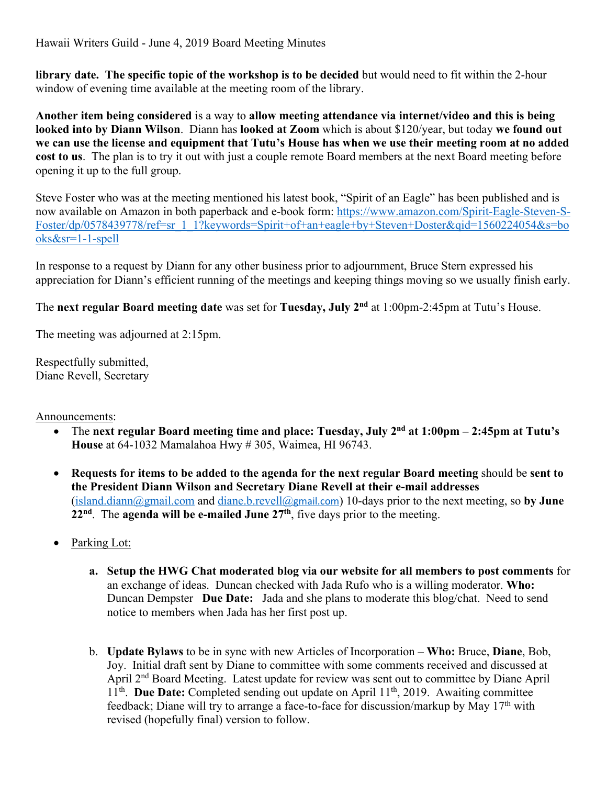Hawaii Writers Guild - June 4, 2019 Board Meeting Minutes

**library date. The specific topic of the workshop is to be decided** but would need to fit within the 2-hour window of evening time available at the meeting room of the library.

**Another item being considered** is a way to **allow meeting attendance via internet/video and this is being looked into by Diann Wilson**. Diann has **looked at Zoom** which is about \$120/year, but today **we found out we can use the license and equipment that Tutu's House has when we use their meeting room at no added cost to us**. The plan is to try it out with just a couple remote Board members at the next Board meeting before opening it up to the full group.

Steve Foster who was at the meeting mentioned his latest book, "Spirit of an Eagle" has been published and is now available on Amazon in both paperback and e-book form: https://www.amazon.com/Spirit-Eagle-Steven-S-Foster/dp/0578439778/ref=sr\_1\_1?keywords=Spirit+of+an+eagle+by+Steven+Doster&qid=1560224054&s=bo oks&sr=1-1-spell

In response to a request by Diann for any other business prior to adjournment, Bruce Stern expressed his appreciation for Diann's efficient running of the meetings and keeping things moving so we usually finish early.

The **next regular Board meeting date** was set for **Tuesday, July 2nd** at 1:00pm-2:45pm at Tutu's House.

The meeting was adjourned at 2:15pm.

Respectfully submitted, Diane Revell, Secretary

Announcements:

- The **next regular Board meeting time and place: Tuesday, July 2nd at 1:00pm – 2:45pm at Tutu's House** at 64-1032 Mamalahoa Hwy # 305, Waimea, HI 96743.
- **Requests for items to be added to the agenda for the next regular Board meeting** should be **sent to the President Diann Wilson and Secretary Diane Revell at their e-mail addresses** (island.diann@gmail.com and diane.b.revell@gmail.com) 10-days prior to the next meeting, so **by June 22nd**. The **agenda will be e-mailed June 27th**, five days prior to the meeting.
- Parking Lot:
	- **a. Setup the HWG Chat moderated blog via our website for all members to post comments** for an exchange of ideas. Duncan checked with Jada Rufo who is a willing moderator. **Who:** Duncan Dempster **Due Date:** Jada and she plans to moderate this blog/chat. Need to send notice to members when Jada has her first post up.
	- b. **Update Bylaws** to be in sync with new Articles of Incorporation **Who:** Bruce, **Diane**, Bob, Joy. Initial draft sent by Diane to committee with some comments received and discussed at April 2<sup>nd</sup> Board Meeting. Latest update for review was sent out to committee by Diane April 11<sup>th</sup>. **Due Date:** Completed sending out update on April 11<sup>th</sup>, 2019. Awaiting committee feedback; Diane will try to arrange a face-to-face for discussion/markup by May 17th with revised (hopefully final) version to follow.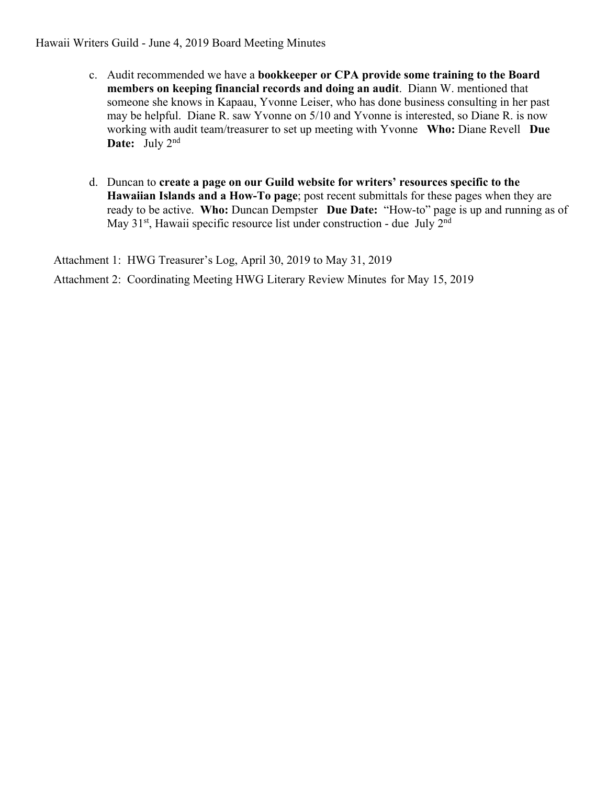Hawaii Writers Guild - June 4, 2019 Board Meeting Minutes

- c. Audit recommended we have a **bookkeeper or CPA provide some training to the Board members on keeping financial records and doing an audit**. Diann W. mentioned that someone she knows in Kapaau, Yvonne Leiser, who has done business consulting in her past may be helpful. Diane R. saw Yvonne on 5/10 and Yvonne is interested, so Diane R. is now working with audit team/treasurer to set up meeting with Yvonne **Who:** Diane Revell **Due Date:** July 2nd
- d. Duncan to **create a page on our Guild website for writers' resources specific to the Hawaiian Islands and a How-To page**; post recent submittals for these pages when they are ready to be active. **Who:** Duncan Dempster **Due Date:** "How-to" page is up and running as of May 31<sup>st</sup>, Hawaii specific resource list under construction - due July 2<sup>nd</sup>

Attachment 1: HWG Treasurer's Log, April 30, 2019 to May 31, 2019

Attachment 2: Coordinating Meeting HWG Literary Review Minutes for May 15, 2019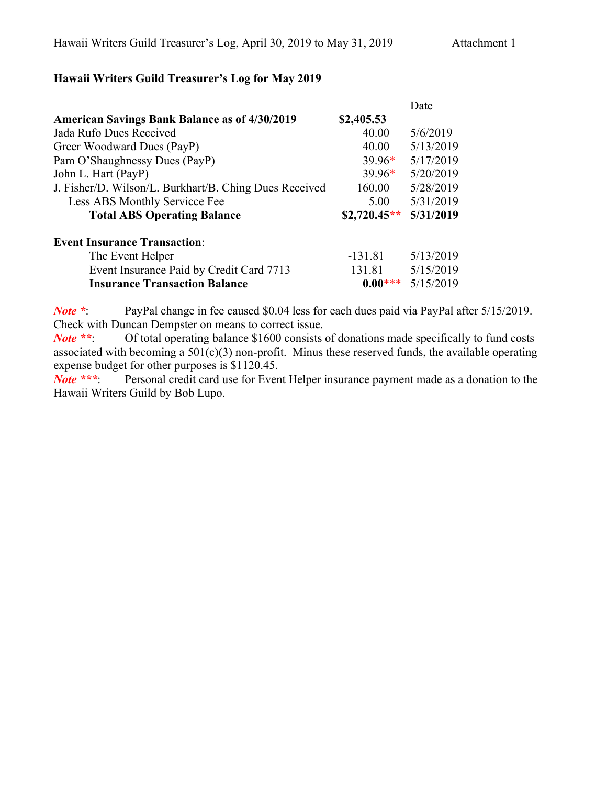# **Hawaii Writers Guild Treasurer's Log for May 2019**

|                                                        |               | Date      |
|--------------------------------------------------------|---------------|-----------|
| <b>American Savings Bank Balance as of 4/30/2019</b>   | \$2,405.53    |           |
| Jada Rufo Dues Received                                | 40.00         | 5/6/2019  |
| Greer Woodward Dues (PayP)                             | 40.00         | 5/13/2019 |
| Pam O'Shaughnessy Dues (PayP)                          | $39.96*$      | 5/17/2019 |
| John L. Hart (PayP)                                    | $39.96*$      | 5/20/2019 |
| J. Fisher/D. Wilson/L. Burkhart/B. Ching Dues Received | 160.00        | 5/28/2019 |
| Less ABS Monthly Servicce Fee                          | 5.00          | 5/31/2019 |
| <b>Total ABS Operating Balance</b>                     | $$2,720.45**$ | 5/31/2019 |
| <b>Event Insurance Transaction:</b>                    |               |           |
| The Event Helper                                       | $-131.81$     | 5/13/2019 |
| Event Insurance Paid by Credit Card 7713               | 131.81        | 5/15/2019 |
| <b>Insurance Transaction Balance</b>                   | $0.00***$     | 5/15/2019 |

*Note \**: PayPal change in fee caused \$0.04 less for each dues paid via PayPal after 5/15/2019. Check with Duncan Dempster on means to correct issue.

*Note* \*\*: Of total operating balance \$1600 consists of donations made specifically to fund costs associated with becoming a  $501(c)(3)$  non-profit. Minus these reserved funds, the available operating expense budget for other purposes is \$1120.45.<br> **Note** \*\*\*: Personal credit card use for Even

Personal credit card use for Event Helper insurance payment made as a donation to the Hawaii Writers Guild by Bob Lupo.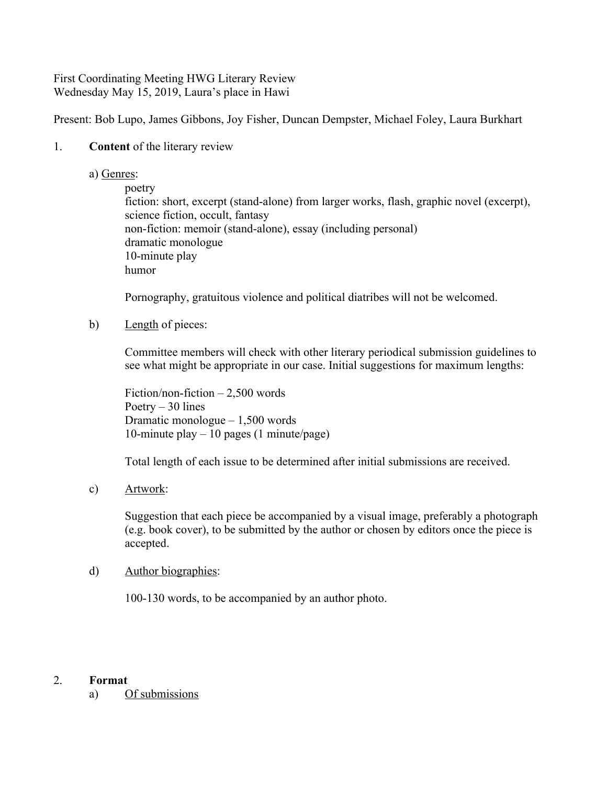#### First Coordinating Meeting HWG Literary Review Wednesday May 15, 2019, Laura's place in Hawi

Present: Bob Lupo, James Gibbons, Joy Fisher, Duncan Dempster, Michael Foley, Laura Burkhart

#### 1. **Content** of the literary review

a) Genres:

poetry

fiction: short, excerpt (stand-alone) from larger works, flash, graphic novel (excerpt), science fiction, occult, fantasy non-fiction: memoir (stand-alone), essay (including personal) dramatic monologue 10-minute play humor

Pornography, gratuitous violence and political diatribes will not be welcomed.

b) Length of pieces:

Committee members will check with other literary periodical submission guidelines to see what might be appropriate in our case. Initial suggestions for maximum lengths:

Fiction/non-fiction – 2,500 words Poetry  $-30$  lines Dramatic monologue – 1,500 words 10-minute play – 10 pages (1 minute/page)

Total length of each issue to be determined after initial submissions are received.

c) Artwork:

Suggestion that each piece be accompanied by a visual image, preferably a photograph (e.g. book cover), to be submitted by the author or chosen by editors once the piece is accepted.

#### d) Author biographies:

100-130 words, to be accompanied by an author photo.

#### 2. **Format**

a) Of submissions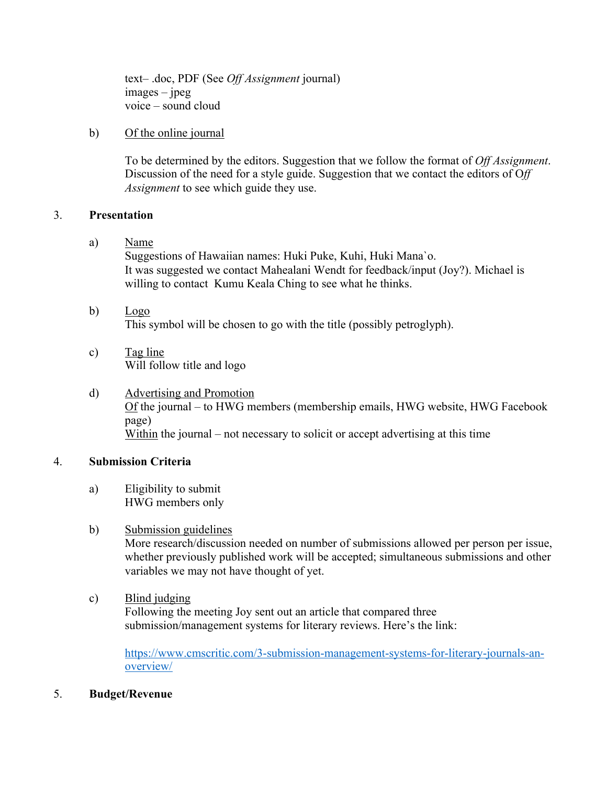text– .doc, PDF (See *Off Assignment* journal) images – jpeg voice – sound cloud

#### b) Of the online journal

To be determined by the editors. Suggestion that we follow the format of *Off Assignment*. Discussion of the need for a style guide. Suggestion that we contact the editors of O*ff Assignment* to see which guide they use.

#### 3. **Presentation**

a) Name

Suggestions of Hawaiian names: Huki Puke, Kuhi, Huki Mana`o. It was suggested we contact Mahealani Wendt for feedback/input (Joy?). Michael is willing to contact Kumu Keala Ching to see what he thinks.

- b) Logo This symbol will be chosen to go with the title (possibly petroglyph).
- c) Tag line Will follow title and logo
- d) Advertising and Promotion Of the journal – to HWG members (membership emails, HWG website, HWG Facebook page) Within the journal – not necessary to solicit or accept advertising at this time

#### 4. **Submission Criteria**

a) Eligibility to submit HWG members only

### b) Submission guidelines

More research/discussion needed on number of submissions allowed per person per issue, whether previously published work will be accepted; simultaneous submissions and other variables we may not have thought of yet.

c) Blind judging Following the meeting Joy sent out an article that compared three submission/management systems for literary reviews. Here's the link:

https://www.cmscritic.com/3-submission-management-systems-for-literary-journals-anoverview/

5. **Budget/Revenue**